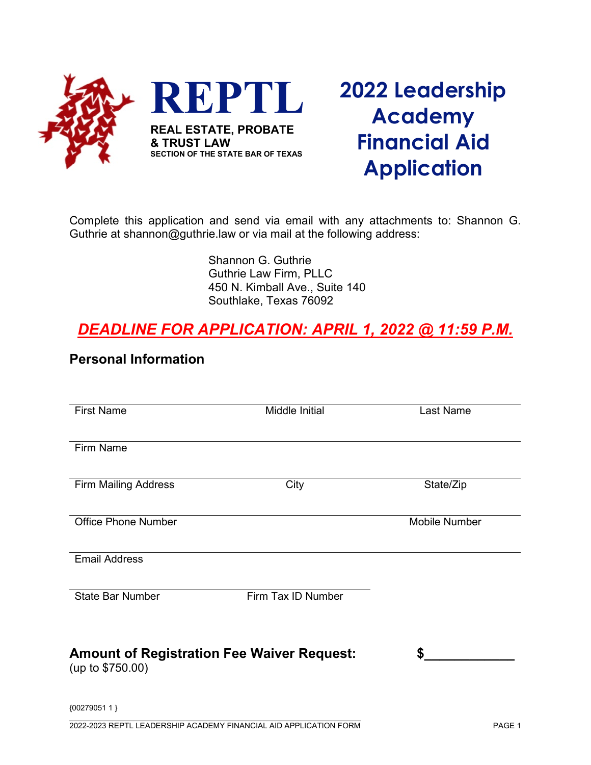

## **2022 Leadership Academy Financial Aid Application**

Complete this application and send via email with any attachments to: Shannon G. Guthrie at shannon@guthrie.law or via mail at the following address:

> Shannon G. Guthrie Guthrie Law Firm, PLLC 450 N. Kimball Ave., Suite 140 Southlake, Texas 76092

## *DEADLINE FOR APPLICATION: APRIL 1, 2022 @ 11:59 P.M.*

## **Personal Information**

| <b>First Name</b>                                                     | Middle Initial     | Last Name            |
|-----------------------------------------------------------------------|--------------------|----------------------|
| Firm Name                                                             |                    |                      |
|                                                                       |                    |                      |
| <b>Firm Mailing Address</b>                                           | City               | State/Zip            |
| <b>Office Phone Number</b>                                            |                    | <b>Mobile Number</b> |
| <b>Email Address</b>                                                  |                    |                      |
| <b>State Bar Number</b>                                               | Firm Tax ID Number |                      |
| <b>Amount of Registration Fee Waiver Request:</b><br>(up to \$750.00) |                    | S                    |
| {00279051 1 }                                                         |                    |                      |